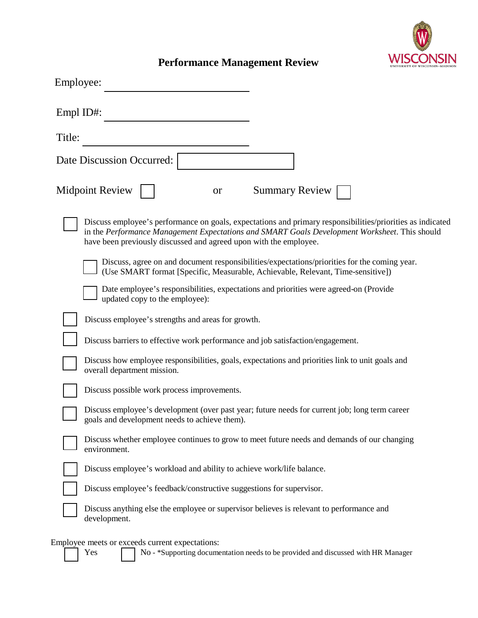

## **Performance Management Review**

| Employee:                                                                                                                                                                                                                                                                        |                       |
|----------------------------------------------------------------------------------------------------------------------------------------------------------------------------------------------------------------------------------------------------------------------------------|-----------------------|
| Empl ID#:                                                                                                                                                                                                                                                                        |                       |
| Title:                                                                                                                                                                                                                                                                           |                       |
| Date Discussion Occurred:                                                                                                                                                                                                                                                        |                       |
| <b>Midpoint Review</b><br><b>or</b>                                                                                                                                                                                                                                              | <b>Summary Review</b> |
| Discuss employee's performance on goals, expectations and primary responsibilities/priorities as indicated<br>in the Performance Management Expectations and SMART Goals Development Worksheet. This should<br>have been previously discussed and agreed upon with the employee. |                       |
| Discuss, agree on and document responsibilities/expectations/priorities for the coming year.<br>(Use SMART format [Specific, Measurable, Achievable, Relevant, Time-sensitive])                                                                                                  |                       |
| Date employee's responsibilities, expectations and priorities were agreed-on (Provide)<br>updated copy to the employee):                                                                                                                                                         |                       |
| Discuss employee's strengths and areas for growth.                                                                                                                                                                                                                               |                       |
| Discuss barriers to effective work performance and job satisfaction/engagement.                                                                                                                                                                                                  |                       |
| Discuss how employee responsibilities, goals, expectations and priorities link to unit goals and<br>overall department mission.                                                                                                                                                  |                       |
| Discuss possible work process improvements.                                                                                                                                                                                                                                      |                       |
| Discuss employee's development (over past year; future needs for current job; long term career<br>goals and development needs to achieve them).                                                                                                                                  |                       |
| Discuss whether employee continues to grow to meet future needs and demands of our changing<br>environment.                                                                                                                                                                      |                       |
| Discuss employee's workload and ability to achieve work/life balance.                                                                                                                                                                                                            |                       |
| Discuss employee's feedback/constructive suggestions for supervisor.                                                                                                                                                                                                             |                       |
| Discuss anything else the employee or supervisor believes is relevant to performance and<br>development.                                                                                                                                                                         |                       |
| Employee meets or exceeds current expectations:<br>No - *Supporting documentation needs to be provided and discussed with HR Manager<br>Yes                                                                                                                                      |                       |